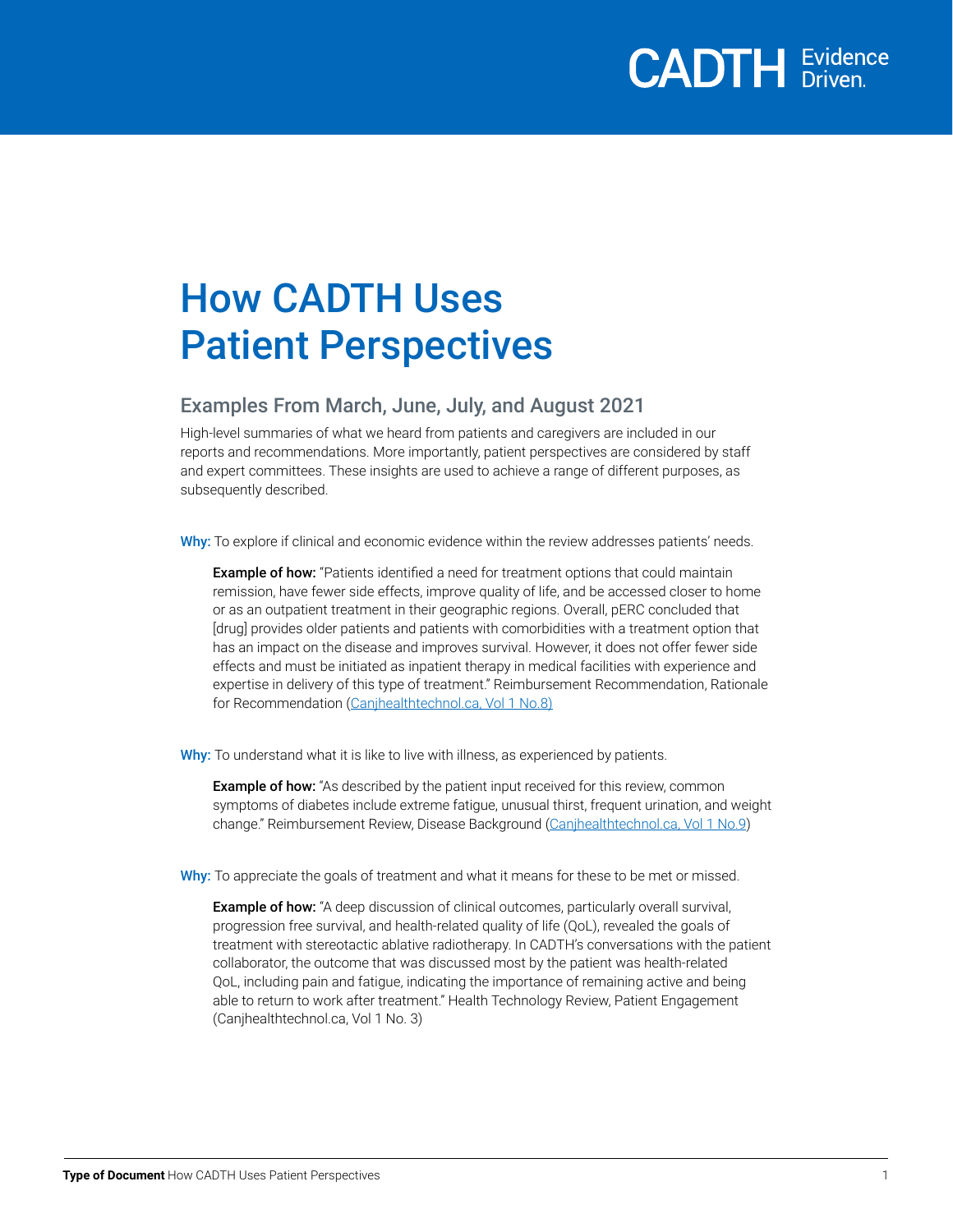### How CADTH Uses Patient Perspectives

### Examples From March, June, July, and August 2021

High-level summaries of what we heard from patients and caregivers are included in our reports and recommendations. More importantly, patient perspectives are considered by staff and expert committees. These insights are used to achieve a range of different purposes, as subsequently described.

Why: To explore if clinical and economic evidence within the review addresses patients' needs.

Example of how: "Patients identified a need for treatment options that could maintain remission, have fewer side effects, improve quality of life, and be accessed closer to home or as an outpatient treatment in their geographic regions. Overall, pERC concluded that [drug] provides older patients and patients with comorbidities with a treatment option that has an impact on the disease and improves survival. However, it does not offer fewer side effects and must be initiated as inpatient therapy in medical facilities with experience and expertise in delivery of this type of treatment." Reimbursement Recommendation, Rationale for Recommendation [\(Canjhealthtechnol.ca, Vol 1 No.8\)](https://canjhealthtechnol.ca/index.php/cjht/issue/view/9)

Why: To understand what it is like to live with illness, as experienced by patients.

**Example of how:** "As described by the patient input received for this review, common symptoms of diabetes include extreme fatigue, unusual thirst, frequent urination, and weight change." Reimbursement Review, Disease Background [\(Canjhealthtechnol.ca, Vol 1 No.9\)](https://canjhealthtechnol.ca/index.php/cjht/issue/view/10)

Why: To appreciate the goals of treatment and what it means for these to be met or missed.

**Example of how:** "A deep discussion of clinical outcomes, particularly overall survival, progression free survival, and health-related quality of life (QoL), revealed the goals of treatment with stereotactic ablative radiotherapy. In CADTH's conversations with the patient collaborator, the outcome that was discussed most by the patient was health-related QoL, including pain and fatigue, indicating the importance of remaining active and being able to return to work after treatment." Health Technology Review, Patient Engagement ([Canjhealthtechnol.ca, Vol 1 No. 3\)](https://canjhealthtechnol.ca/index.php/cjht/issue/view/3)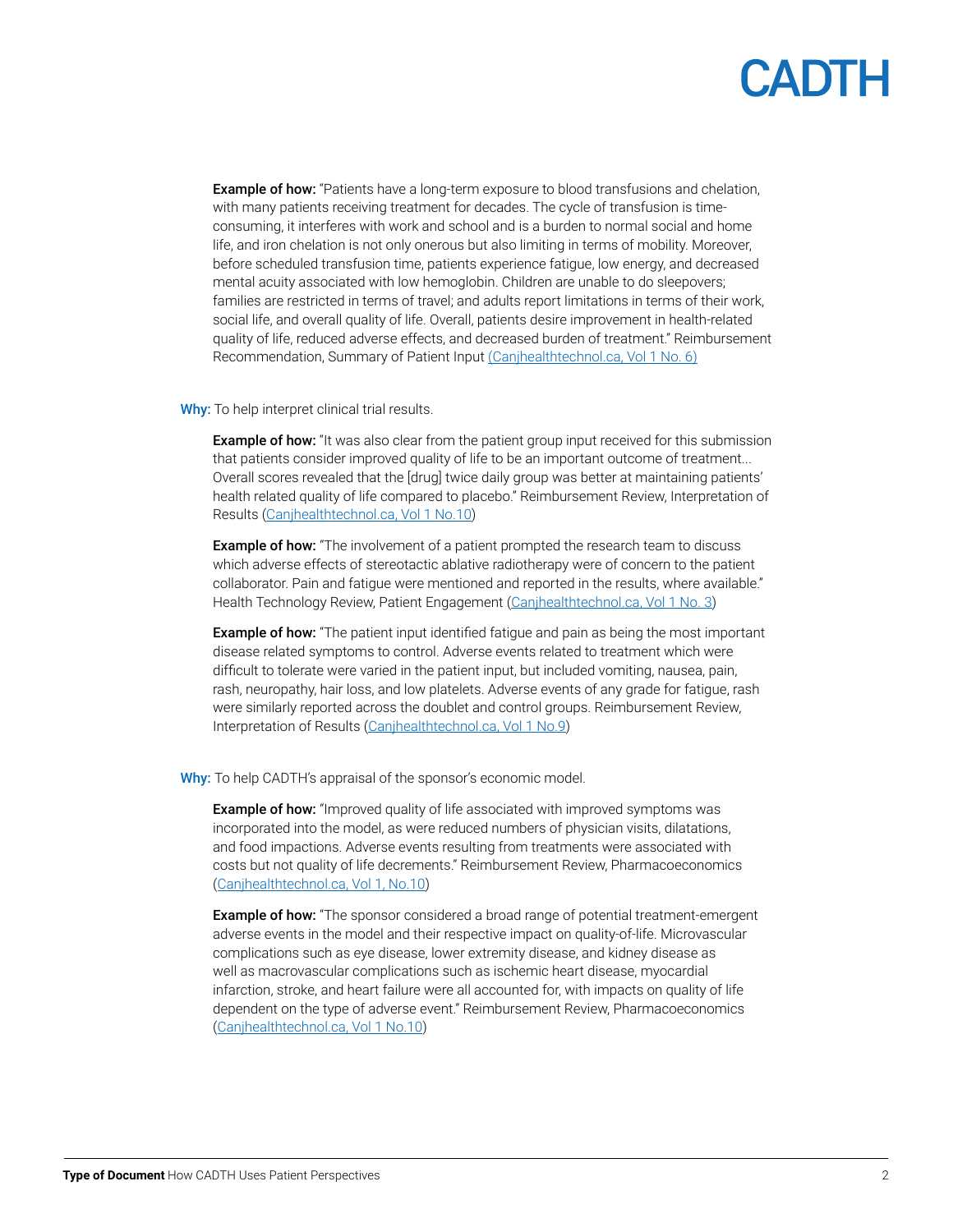# CADIL

**Example of how:** "Patients have a long-term exposure to blood transfusions and chelation, with many patients receiving treatment for decades. The cycle of transfusion is timeconsuming, it interferes with work and school and is a burden to normal social and home life, and iron chelation is not only onerous but also limiting in terms of mobility. Moreover, before scheduled transfusion time, patients experience fatigue, low energy, and decreased mental acuity associated with low hemoglobin. Children are unable to do sleepovers; families are restricted in terms of travel; and adults report limitations in terms of their work, social life, and overall quality of life. Overall, patients desire improvement in health-related quality of life, reduced adverse effects, and decreased burden of treatment." Reimbursement Recommendation, Summary of Patient Input [\(Canjhealthtechnol.ca, Vol 1 No. 6\)](https://canjhealthtechnol.ca/index.php/cjht/issue/view/6)

#### Why: To help interpret clinical trial results.

**Example of how:** "It was also clear from the patient group input received for this submission that patients consider improved quality of life to be an important outcome of treatment... Overall scores revealed that the [drug] twice daily group was better at maintaining patients' health related quality of life compared to placebo." Reimbursement Review, Interpretation of Results [\(Canjhealthtechnol.ca, Vol 1 No.10](https://canjhealthtechnol.ca/index.php/cjht/issue/view/11))

**Example of how:** "The involvement of a patient prompted the research team to discuss which adverse effects of stereotactic ablative radiotherapy were of concern to the patient collaborator. Pain and fatigue were mentioned and reported in the results, where available." Health Technology Review, Patient Engagement ([Canjhealthtechnol.ca, Vol 1 No. 3\)](https://canjhealthtechnol.ca/index.php/cjht/issue/view/3)

**Example of how:** "The patient input identified fatigue and pain as being the most important disease related symptoms to control. Adverse events related to treatment which were difficult to tolerate were varied in the patient input, but included vomiting, nausea, pain, rash, neuropathy, hair loss, and low platelets. Adverse events of any grade for fatigue, rash were similarly reported across the doublet and control groups. Reimbursement Review, Interpretation of Results ([Canjhealthtechnol.ca, Vol 1 No.9\)](https://canjhealthtechnol.ca/index.php/cjht/issue/view/10)

#### Why: To help CADTH's appraisal of the sponsor's economic model.

**Example of how:** "Improved quality of life associated with improved symptoms was incorporated into the model, as were reduced numbers of physician visits, dilatations, and food impactions. Adverse events resulting from treatments were associated with costs but not quality of life decrements." Reimbursement Review, Pharmacoeconomics ([Canjhealthtechnol.ca, Vol 1, No.10](https://canjhealthtechnol.ca/index.php/cjht/issue/view/11))

**Example of how:** "The sponsor considered a broad range of potential treatment-emergent adverse events in the model and their respective impact on quality-of-life. Microvascular complications such as eye disease, lower extremity disease, and kidney disease as well as macrovascular complications such as ischemic heart disease, myocardial infarction, stroke, and heart failure were all accounted for, with impacts on quality of life dependent on the type of adverse event." Reimbursement Review, Pharmacoeconomics ([Canjhealthtechnol.ca, Vol 1 No.10\)](https://canjhealthtechnol.ca/index.php/cjht/issue/view/11)